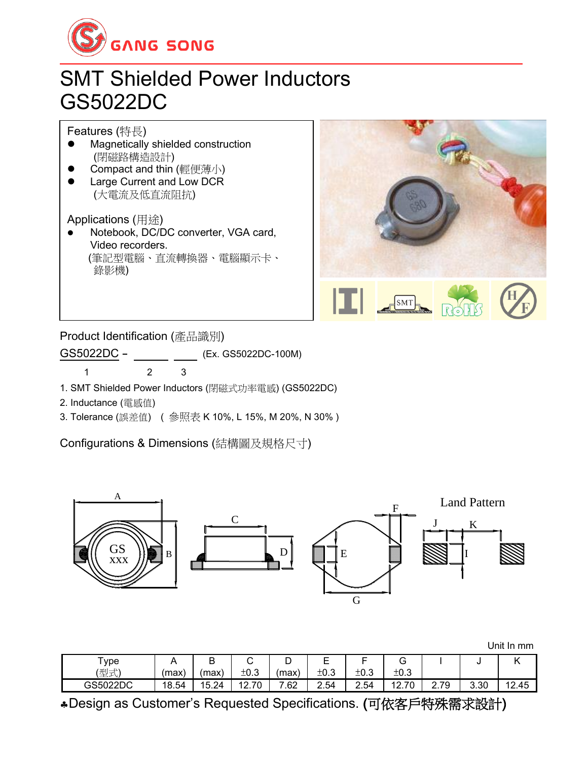

## SMT Shielded Power Inductors GS5022DC

Features (特長)

- ⚫ Magnetically shielded construction (閉磁路構造設計)
- ⚫ Compact and thin (輕便薄小)
- ⚫ Large Current and Low DCR (大電流及低直流阻抗)

Applications (用途)

⚫ Notebook, DC/DC converter, VGA card, Video recorders. (筆記型電腦、直流轉換器、電腦顯示卡、 錄影機)



Product Identification (產品識別)

GS5022DC - (Ex. GS5022DC-100M)

1 2 3

1. SMT Shielded Power Inductors (閉磁式功率電感) (GS5022DC)

2. Inductance (電感值)

3. Tolerance (誤差值) ( 參照表 K 10%, L 15%, M 20%, N 30% )

Configurations & Dimensions (結構圖及規格尺寸)



|          |          |        |             |          |             |      |             |      |      | Unit In mm |
|----------|----------|--------|-------------|----------|-------------|------|-------------|------|------|------------|
| ype      | $\cdots$ | R<br>◡ | ⌒<br>ັ      | ◡        | −<br>⊢<br>- | -    | $\sim$<br>G |      |      |            |
| (型式)     | (max)    | (max)  | ±0.3        | (max)    | ±0.3        | ±0.3 | ±0.3        |      |      |            |
| GS5022DC | 18.54    | 15.24  | .70<br>12.7 | ⇁<br>.62 | 2.54        | 2.54 | .70<br>12.7 | 2.79 | 3.30 | 12.45      |

Design as Customer's Requested Specifications. (可依客戶特殊需求設計)